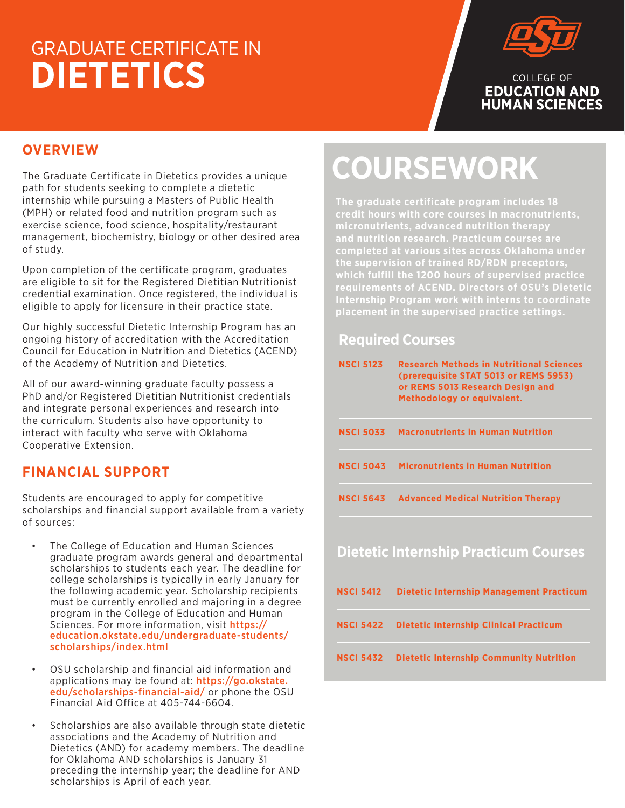## GRADUATE CERTIFICATE IN **DIETETICS**



### **OVERVIEW**

The Graduate Certificate in Dietetics provides a unique path for students seeking to complete a dietetic internship while pursuing a Masters of Public Health (MPH) or related food and nutrition program such as exercise science, food science, hospitality/restaurant management, biochemistry, biology or other desired area of study.

Upon completion of the certificate program, graduates are eligible to sit for the Registered Dietitian Nutritionist credential examination. Once registered, the individual is eligible to apply for licensure in their practice state.

Our highly successful Dietetic Internship Program has an ongoing history of accreditation with the Accreditation Council for Education in Nutrition and Dietetics (ACEND) of the Academy of Nutrition and Dietetics.

All of our award-winning graduate faculty possess a PhD and/or Registered Dietitian Nutritionist credentials and integrate personal experiences and research into the curriculum. Students also have opportunity to interact with faculty who serve with Oklahoma Cooperative Extension.

#### **FINANCIAL SUPPORT**

Students are encouraged to apply for competitive scholarships and financial support available from a variety of sources:

- The College of Education and Human Sciences graduate program awards general and departmental scholarships to students each year. The deadline for college scholarships is typically in early January for the following academic year. Scholarship recipients must be currently enrolled and majoring in a degree program in the College of Education and Human Sciences. For more information, visit **https://** education.okstate.edu/undergraduate-students/ scholarships/index.html
- OSU scholarship and financial aid information and applications may be found at: https://go.okstate. edu/scholarships-financial-aid/ or phone the OSU Financial Aid Office at 405-744-6604.
- Scholarships are also available through state dietetic associations and the Academy of Nutrition and Dietetics (AND) for academy members. The deadline for Oklahoma AND scholarships is January 31 preceding the internship year; the deadline for AND scholarships is April of each year.

# **COURSEWORK**

**The graduate certificate program includes 18 credit hours with core courses in macronutrients, micronutrients, advanced nutrition therapy completed at various sites across Oklahoma under the supervision of trained RD/RDN preceptors, which fulfill the 1200 hours of supervised practice requirements of ACEND. Directors of OSU's Dietetic Internship Program work with interns to coordinate placement in the supervised practice settings.**

#### **Required Courses**

| <b>NSCI 5123</b> | <b>Research Methods in Nutritional Sciences</b><br>(prerequisite STAT 5013 or REMS 5953)<br>or REMS 5013 Research Design and<br>Methodology or equivalent. |
|------------------|------------------------------------------------------------------------------------------------------------------------------------------------------------|
| <b>NSCI 5033</b> | <b>Macronutrients in Human Nutrition</b>                                                                                                                   |
| <b>NSCI 5043</b> | <b>Micronutrients in Human Nutrition</b>                                                                                                                   |
| <b>NSCI 5643</b> | <b>Advanced Medical Nutrition Therapy</b>                                                                                                                  |
|                  | <b>Dietetic Internship Practicum Courses</b>                                                                                                               |
| <b>NSCI 5412</b> | <b>Dietetic Internship Management Practicum</b>                                                                                                            |

**NSCI 5422 Dietetic Internship Clinical Practicum** 

**NSCI 5432 Dietetic Internship Community Nutrition**